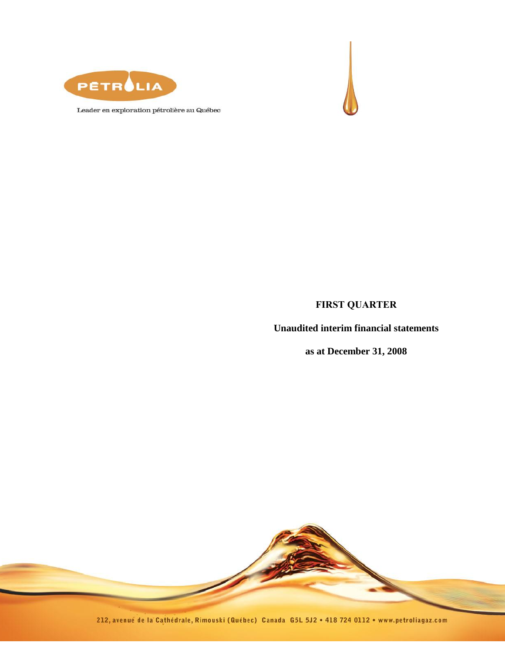



Leader en exploration pétrolière au Québec

# **FIRST QUARTER**

**Unaudited interim financial statements**

**as at December 31, 2008**



212, avenue de la Cathédrale, Rimouski (Québec) Canada G5L 5J2 · 418 724 0112 · www.petroliagaz.com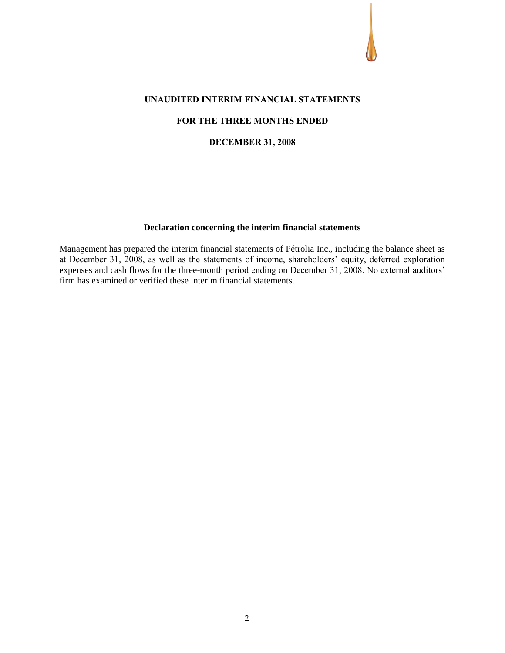#### **UNAUDITED INTERIM FINANCIAL STATEMENTS**

#### **FOR THE THREE MONTHS ENDED**

#### **DECEMBER 31, 2008**

#### **Declaration concerning the interim financial statements**

Management has prepared the interim financial statements of Pétrolia Inc., including the balance sheet as at December 31, 2008, as well as the statements of income, shareholders' equity, deferred exploration expenses and cash flows for the three-month period ending on December 31, 2008. No external auditors' firm has examined or verified these interim financial statements.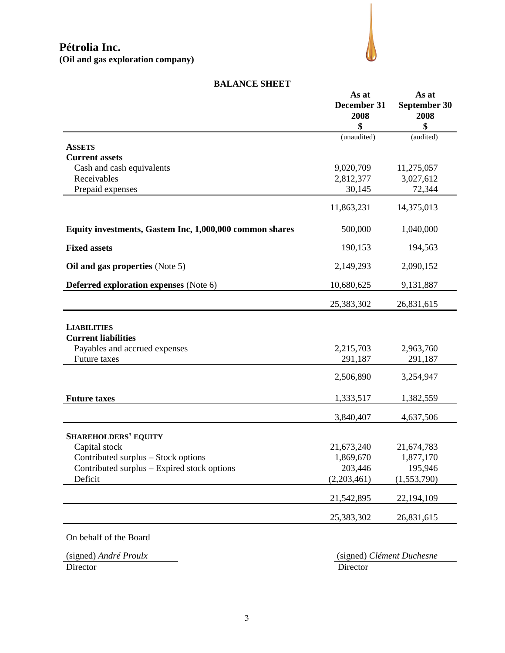

#### **BALANCE SHEET**

|                                                         | As at<br>December 31<br>2008<br>\$ | As at<br>September 30<br>2008<br>\$ |
|---------------------------------------------------------|------------------------------------|-------------------------------------|
|                                                         | (unaudited)                        | (audited)                           |
| <b>ASSETS</b>                                           |                                    |                                     |
| <b>Current assets</b>                                   |                                    |                                     |
| Cash and cash equivalents<br>Receivables                | 9,020,709                          | 11,275,057                          |
| Prepaid expenses                                        | 2,812,377<br>30,145                | 3,027,612<br>72,344                 |
|                                                         |                                    |                                     |
|                                                         | 11,863,231                         | 14,375,013                          |
| Equity investments, Gastem Inc, 1,000,000 common shares | 500,000                            | 1,040,000                           |
| <b>Fixed assets</b>                                     | 190,153                            | 194,563                             |
| Oil and gas properties (Note 5)                         | 2,149,293                          | 2,090,152                           |
| <b>Deferred exploration expenses</b> (Note 6)           | 10,680,625                         | 9,131,887                           |
|                                                         | 25,383,302                         | 26,831,615                          |
| <b>LIABILITIES</b><br><b>Current liabilities</b>        |                                    |                                     |
| Payables and accrued expenses                           | 2,215,703                          | 2,963,760                           |
| Future taxes                                            | 291,187                            | 291,187                             |
|                                                         | 2,506,890                          | 3,254,947                           |
| <b>Future taxes</b>                                     | 1,333,517                          | 1,382,559                           |
|                                                         | 3,840,407                          | 4,637,506                           |
| <b>SHAREHOLDERS' EQUITY</b>                             |                                    |                                     |
| Capital stock                                           | 21,673,240                         | 21,674,783                          |
| Contributed surplus – Stock options                     | 1,869,670                          | 1,877,170                           |
| Contributed surplus – Expired stock options             | 203,446                            | 195,946                             |
| Deficit                                                 | (2,203,461)                        | (1,553,790)                         |
|                                                         | 21,542,895                         | 22,194,109                          |
|                                                         | 25,383,302                         | 26,831,615                          |
| On behalf of the Board                                  |                                    |                                     |

Director Director Director

(signed) *André Proulx* (signed) *Clément Duchesne*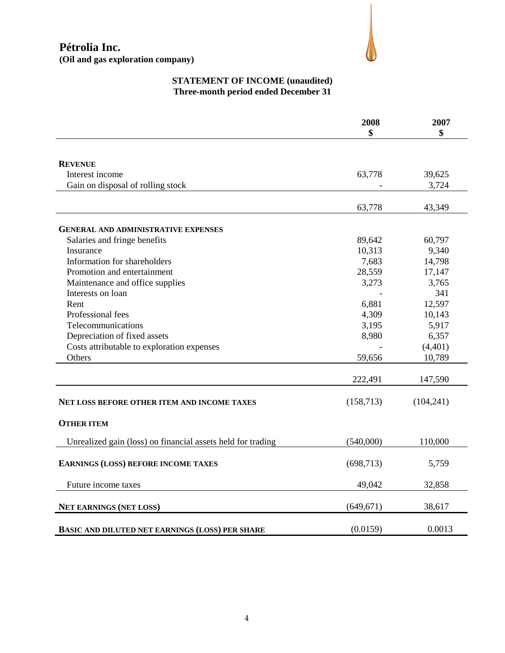# **Pétrolia Inc. (Oil and gas exploration company)**



# **STATEMENT OF INCOME (unaudited) Three-month period ended December 31**

|                                                             | 2008       | 2007       |
|-------------------------------------------------------------|------------|------------|
|                                                             | \$         | \$         |
|                                                             |            |            |
| <b>REVENUE</b>                                              |            |            |
| Interest income                                             | 63,778     | 39,625     |
| Gain on disposal of rolling stock                           |            | 3,724      |
|                                                             |            |            |
|                                                             | 63,778     | 43,349     |
|                                                             |            |            |
| <b>GENERAL AND ADMINISTRATIVE EXPENSES</b>                  | 89,642     | 60,797     |
| Salaries and fringe benefits<br>Insurance                   | 10,313     | 9,340      |
| Information for shareholders                                | 7,683      | 14,798     |
| Promotion and entertainment                                 | 28,559     | 17,147     |
| Maintenance and office supplies                             | 3,273      | 3,765      |
| Interests on loan                                           |            | 341        |
| Rent                                                        | 6,881      | 12,597     |
| Professional fees                                           | 4,309      | 10,143     |
| Telecommunications                                          | 3,195      | 5,917      |
| Depreciation of fixed assets                                | 8,980      | 6,357      |
| Costs attributable to exploration expenses                  |            | (4,401)    |
| Others                                                      | 59,656     | 10,789     |
|                                                             |            |            |
|                                                             | 222,491    | 147,590    |
|                                                             |            |            |
| NET LOSS BEFORE OTHER ITEM AND INCOME TAXES                 | (158, 713) | (104, 241) |
| <b>OTHER ITEM</b>                                           |            |            |
| Unrealized gain (loss) on financial assets held for trading | (540,000)  | 110,000    |
|                                                             |            |            |
| <b>EARNINGS (LOSS) BEFORE INCOME TAXES</b>                  | (698, 713) | 5,759      |
| Future income taxes                                         | 49,042     | 32,858     |
| <b>NET EARNINGS (NET LOSS)</b>                              | (649, 671) | 38,617     |
|                                                             |            |            |
| <b>BASIC AND DILUTED NET EARNINGS (LOSS) PER SHARE</b>      | (0.0159)   | 0.0013     |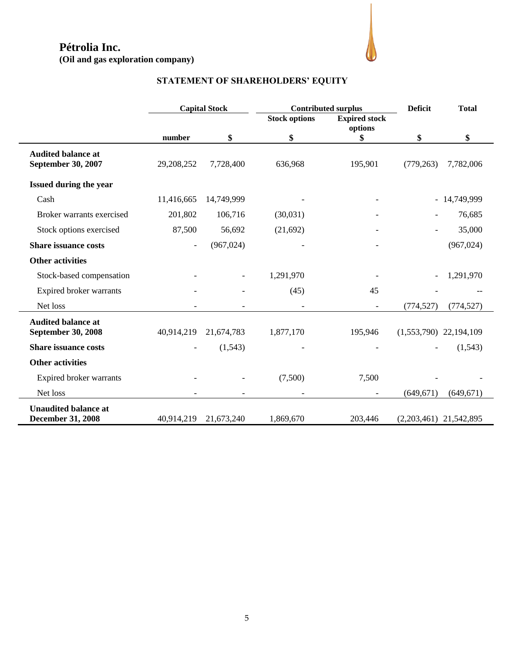# **Pétrolia Inc.**

**(Oil and gas exploration company)**



# **STATEMENT OF SHAREHOLDERS' EQUITY**

|                                                         |                          | <b>Capital Stock</b> | <b>Contributed surplus</b> |                                 | <b>Deficit</b>           | <b>Total</b> |
|---------------------------------------------------------|--------------------------|----------------------|----------------------------|---------------------------------|--------------------------|--------------|
|                                                         |                          |                      | <b>Stock options</b>       | <b>Expired stock</b><br>options |                          |              |
|                                                         | number                   | \$                   | \$                         | \$                              | \$                       | \$           |
| <b>Audited balance at</b><br><b>September 30, 2007</b>  | 29,208,252               | 7,728,400            | 636,968                    | 195,901                         | (779, 263)               | 7,782,006    |
| Issued during the year                                  |                          |                      |                            |                                 |                          |              |
| Cash                                                    | 11,416,665               | 14,749,999           |                            |                                 | $\overline{a}$           | 14,749,999   |
| Broker warrants exercised                               | 201,802                  | 106,716              | (30,031)                   |                                 |                          | 76,685       |
| Stock options exercised                                 | 87,500                   | 56,692               | (21,692)                   |                                 |                          | 35,000       |
| <b>Share issuance costs</b>                             | $\overline{\phantom{a}}$ | (967, 024)           |                            |                                 |                          | (967, 024)   |
| <b>Other activities</b>                                 |                          |                      |                            |                                 |                          |              |
| Stock-based compensation                                |                          |                      | 1,291,970                  |                                 |                          | 1,291,970    |
| Expired broker warrants                                 |                          |                      | (45)                       | 45                              |                          |              |
| Net loss                                                |                          |                      |                            |                                 | (774, 527)               | (774, 527)   |
| <b>Audited balance at</b><br><b>September 30, 2008</b>  | 40,914,219               | 21,674,783           | 1,877,170                  | 195,946                         | $(1,553,790)$ 22,194,109 |              |
| <b>Share issuance costs</b>                             |                          | (1,543)              |                            |                                 |                          | (1,543)      |
| <b>Other activities</b>                                 |                          |                      |                            |                                 |                          |              |
| Expired broker warrants                                 |                          |                      | (7,500)                    | 7,500                           |                          |              |
| Net loss                                                |                          |                      |                            |                                 | (649, 671)               | (649, 671)   |
| <b>Unaudited balance at</b><br><b>December 31, 2008</b> | 40,914,219               | 21,673,240           | 1,869,670                  | 203,446                         | $(2,203,461)$ 21,542,895 |              |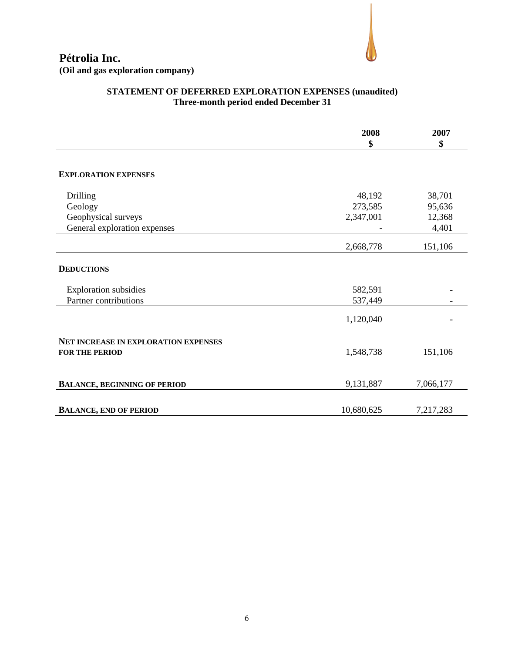

# **Pétrolia Inc. (Oil and gas exploration company)**

# **STATEMENT OF DEFERRED EXPLORATION EXPENSES (unaudited) Three-month period ended December 31**

|                                      | 2008<br>\$ | 2007<br>\$ |
|--------------------------------------|------------|------------|
|                                      |            |            |
| <b>EXPLORATION EXPENSES</b>          |            |            |
| Drilling                             | 48,192     | 38,701     |
| Geology                              | 273,585    | 95,636     |
| Geophysical surveys                  | 2,347,001  | 12,368     |
| General exploration expenses         |            | 4,401      |
|                                      | 2,668,778  | 151,106    |
| <b>DEDUCTIONS</b>                    |            |            |
| <b>Exploration subsidies</b>         | 582,591    |            |
| Partner contributions                | 537,449    |            |
|                                      | 1,120,040  |            |
| NET INCREASE IN EXPLORATION EXPENSES |            |            |
| <b>FOR THE PERIOD</b>                | 1,548,738  | 151,106    |
| <b>BALANCE, BEGINNING OF PERIOD</b>  | 9,131,887  | 7,066,177  |
|                                      |            |            |
| <b>BALANCE, END OF PERIOD</b>        | 10,680,625 | 7,217,283  |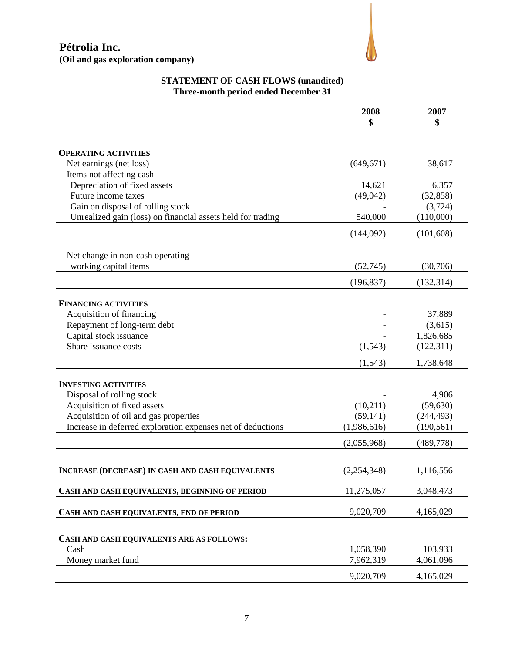# **Pétrolia Inc. (Oil and gas exploration company)**



# **STATEMENT OF CASH FLOWS (unaudited) Three-month period ended December 31**

|                                                             | 2008        | 2007       |
|-------------------------------------------------------------|-------------|------------|
|                                                             | \$          | \$         |
|                                                             |             |            |
| <b>OPERATING ACTIVITIES</b>                                 |             |            |
| Net earnings (net loss)                                     | (649, 671)  | 38,617     |
| Items not affecting cash                                    |             |            |
| Depreciation of fixed assets                                | 14,621      | 6,357      |
| Future income taxes                                         | (49, 042)   | (32, 858)  |
| Gain on disposal of rolling stock                           |             | (3,724)    |
| Unrealized gain (loss) on financial assets held for trading | 540,000     | (110,000)  |
|                                                             | (144,092)   | (101, 608) |
|                                                             |             |            |
| Net change in non-cash operating<br>working capital items   | (52, 745)   | (30,706)   |
|                                                             |             |            |
|                                                             | (196, 837)  | (132, 314) |
| <b>FINANCING ACTIVITIES</b>                                 |             |            |
| Acquisition of financing                                    |             | 37,889     |
| Repayment of long-term debt                                 |             | (3,615)    |
| Capital stock issuance                                      |             | 1,826,685  |
| Share issuance costs                                        | (1, 543)    | (122, 311) |
|                                                             | (1, 543)    | 1,738,648  |
|                                                             |             |            |
| <b>INVESTING ACTIVITIES</b>                                 |             |            |
| Disposal of rolling stock                                   |             | 4,906      |
| Acquisition of fixed assets                                 | (10,211)    | (59, 630)  |
| Acquisition of oil and gas properties                       | (59, 141)   | (244, 493) |
| Increase in deferred exploration expenses net of deductions | (1,986,616) | (190, 561) |
|                                                             | (2,055,968) | (489, 778) |
|                                                             |             |            |
| <b>INCREASE (DECREASE) IN CASH AND CASH EQUIVALENTS</b>     | (2,254,348) | 1,116,556  |
| CASH AND CASH EQUIVALENTS, BEGINNING OF PERIOD              | 11,275,057  | 3,048,473  |
| CASH AND CASH EQUIVALENTS, END OF PERIOD                    | 9,020,709   | 4,165,029  |
|                                                             |             |            |
| CASH AND CASH EQUIVALENTS ARE AS FOLLOWS:                   |             |            |
| Cash                                                        | 1,058,390   | 103,933    |
| Money market fund                                           | 7,962,319   | 4,061,096  |
|                                                             | 9,020,709   | 4,165,029  |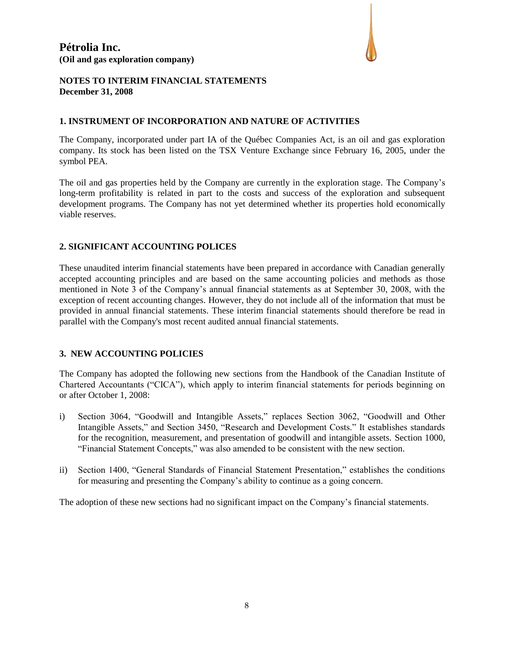

#### **NOTES TO INTERIM FINANCIAL STATEMENTS December 31, 2008**

#### **1. INSTRUMENT OF INCORPORATION AND NATURE OF ACTIVITIES**

The Company, incorporated under part IA of the Québec Companies Act, is an oil and gas exploration company. Its stock has been listed on the TSX Venture Exchange since February 16, 2005, under the symbol PEA.

The oil and gas properties held by the Company are currently in the exploration stage. The Company's long-term profitability is related in part to the costs and success of the exploration and subsequent development programs. The Company has not yet determined whether its properties hold economically viable reserves.

#### **2. SIGNIFICANT ACCOUNTING POLICES**

These unaudited interim financial statements have been prepared in accordance with Canadian generally accepted accounting principles and are based on the same accounting policies and methods as those mentioned in Note 3 of the Company's annual financial statements as at September 30, 2008, with the exception of recent accounting changes. However, they do not include all of the information that must be provided in annual financial statements. These interim financial statements should therefore be read in parallel with the Company's most recent audited annual financial statements.

# **3. NEW ACCOUNTING POLICIES**

The Company has adopted the following new sections from the Handbook of the Canadian Institute of Chartered Accountants ("CICA"), which apply to interim financial statements for periods beginning on or after October 1, 2008:

- i) Section 3064, "Goodwill and Intangible Assets," replaces Section 3062, "Goodwill and Other Intangible Assets," and Section 3450, "Research and Development Costs." It establishes standards for the recognition, measurement, and presentation of goodwill and intangible assets. Section 1000, "Financial Statement Concepts," was also amended to be consistent with the new section.
- ii) Section 1400, "General Standards of Financial Statement Presentation," establishes the conditions for measuring and presenting the Company's ability to continue as a going concern.

The adoption of these new sections had no significant impact on the Company's financial statements.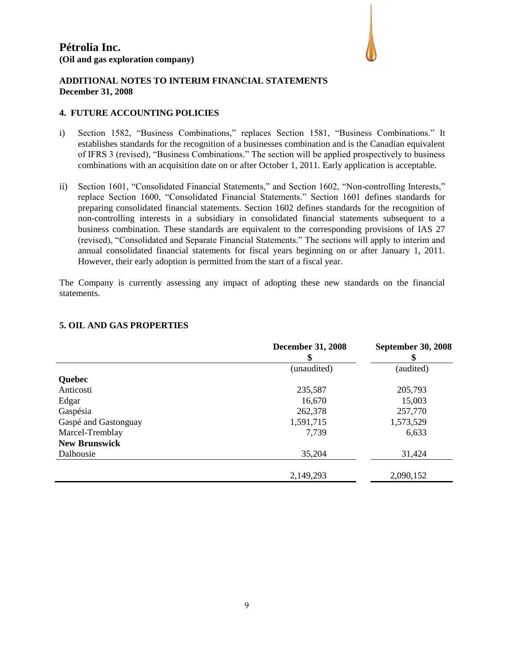

#### **ADDITIONAL NOTES TO INTERIM FINANCIAL STATEMENTS December 31, 2008**

#### **4. FUTURE ACCOUNTING POLICIES**

- i) Section 1582, "Business Combinations," replaces Section 1581, "Business Combinations." It establishes standards for the recognition of a businesses combination and is the Canadian equivalent of IFRS 3 (revised), "Business Combinations." The section will be applied prospectively to business combinations with an acquisition date on or after October 1, 2011. Early application is acceptable.
- ii) Section 1601, "Consolidated Financial Statements," and Section 1602, "Non-controlling Interests," replace Section 1600, "Consolidated Financial Statements." Section 1601 defines standards for preparing consolidated financial statements. Section 1602 defines standards for the recognition of non-controlling interests in a subsidiary in consolidated financial statements subsequent to a business combination. These standards are equivalent to the corresponding provisions of IAS 27 (revised), "Consolidated and Separate Financial Statements." The sections will apply to interim and annual consolidated financial statements for fiscal years beginning on or after January 1, 2011. However, their early adoption is permitted from the start of a fiscal year.

The Company is currently assessing any impact of adopting these new standards on the financial statements.

|                      | <b>December 31, 2008</b><br>\$ | <b>September 30, 2008</b> |  |
|----------------------|--------------------------------|---------------------------|--|
|                      | (unaudited)                    | (audited)                 |  |
| Quebec               |                                |                           |  |
| Anticosti            | 235,587                        | 205,793                   |  |
| Edgar                | 16,670                         | 15,003                    |  |
| Gaspésia             | 262,378                        | 257,770                   |  |
| Gaspé and Gastonguay | 1,591,715                      | 1,573,529                 |  |
| Marcel-Tremblay      | 7,739                          | 6,633                     |  |
| <b>New Brunswick</b> |                                |                           |  |
| Dalhousie            | 35,204                         | 31,424                    |  |
|                      | 2,149,293                      | 2,090,152                 |  |

#### **5. OIL AND GAS PROPERTIES**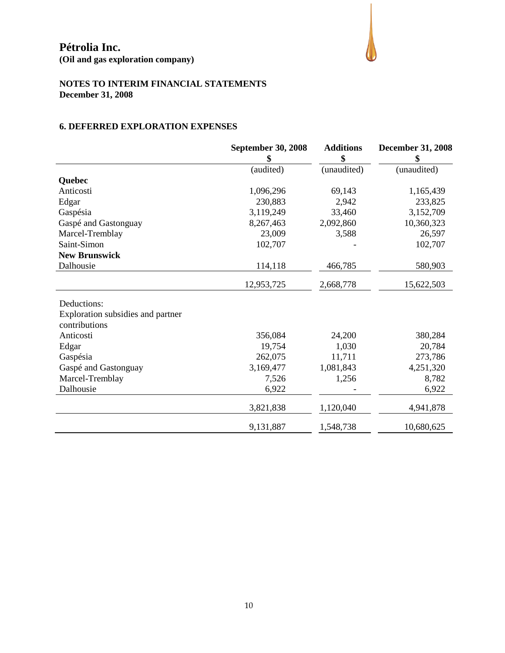**(Oil and gas exploration company)**



# **NOTES TO INTERIM FINANCIAL STATEMENTS December 31, 2008**

# **6. DEFERRED EXPLORATION EXPENSES**

|                                   | <b>September 30, 2008</b><br>\$ | <b>Additions</b><br>\$ | <b>December 31, 2008</b><br>\$ |
|-----------------------------------|---------------------------------|------------------------|--------------------------------|
|                                   | (audited)                       | (unaudited)            | (unaudited)                    |
| Quebec                            |                                 |                        |                                |
| Anticosti                         | 1,096,296                       | 69,143                 | 1,165,439                      |
| Edgar                             | 230,883                         | 2,942                  | 233,825                        |
| Gaspésia                          | 3,119,249                       | 33,460                 | 3,152,709                      |
| Gaspé and Gastonguay              | 8,267,463                       | 2,092,860              | 10,360,323                     |
| Marcel-Tremblay                   | 23,009                          | 3,588                  | 26,597                         |
| Saint-Simon                       | 102,707                         |                        | 102,707                        |
| <b>New Brunswick</b>              |                                 |                        |                                |
| Dalhousie                         | 114,118                         | 466,785                | 580,903                        |
|                                   | 12,953,725                      | 2,668,778              | 15,622,503                     |
| Deductions:                       |                                 |                        |                                |
| Exploration subsidies and partner |                                 |                        |                                |
| contributions                     |                                 |                        |                                |
| Anticosti                         | 356,084                         | 24,200                 | 380,284                        |
| Edgar                             | 19,754                          | 1,030                  | 20,784                         |
| Gaspésia                          | 262,075                         | 11,711                 | 273,786                        |
| Gaspé and Gastonguay              | 3,169,477                       | 1,081,843              | 4,251,320                      |
| Marcel-Tremblay                   | 7,526                           | 1,256                  | 8,782                          |
| Dalhousie                         | 6,922                           |                        | 6,922                          |
|                                   | 3,821,838                       | 1,120,040              | 4,941,878                      |
|                                   | 9,131,887                       | 1,548,738              | 10,680,625                     |